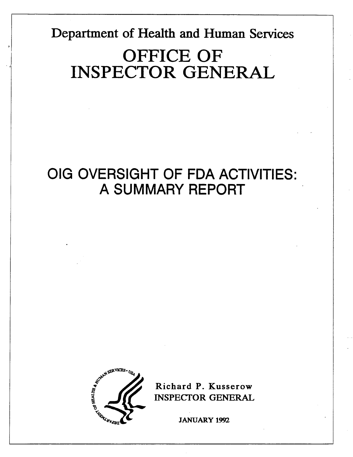Department of Health and Human Services

# OFFICE OF<br>INSPECTOR GENERAL

### OIG OVERSIGHT OF FDA ACTIVITIES: A SUMMARY REPORT



Richard P. Kusserow INSPECfOR GENERA

JANUARY 1992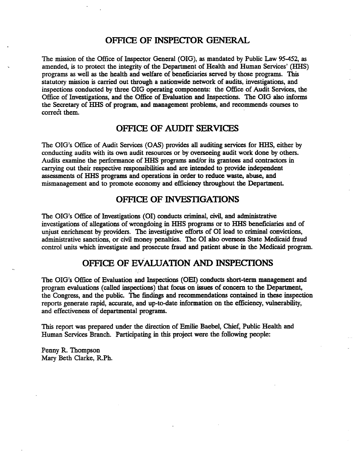### OFFICE OF INSPECTOR GENERAL

The mission of the Office of Inspector General (OIG), as mandated by Public Law 95-452, as amended, is to protect the integrity of the Department of Health and Human Services' (HHS) programs as well as the health and welfare of beneficiaries served by those programs. This statutory mission is carried out through a nationwide network of audits, investigations, and inspections conducted by three OIG operating components: the Office of Audit Services, the Inspections conducted by three OIG operating components: the OIICe of Audit Services, the Office of Investigations, and the Office of Evaluation and Inspections. The OIG also informs the Secretary of HHS of program, and ma

### OFFICE OF AUDIT SERVICES

The OIG's Office of Audit Services (OAS) provides all auditing services for HHS, either by conducting audits with its own audit resources or by overseeing audit work done by others. Audits examine the performance of HHS programs and/or its grantees and contractors in carrying out their respective responsibilities and are intended to provide independent assessments of HHS programs and operations in order to reduce waste, abuse, and mismanagement and to promote economy and efficiency throughout the Department.

### OFFICE OF INVESTIGATIONS

The OIG's Office of Investigations (OI) conducts criminal, civil, and administrative investigations of allegations of wrongdoing in HHS programs or to HHS beneficiaries and of unjust enrichment by providers. The investigative efforts of OI lead to criminal convictions, administrative sanctions, or civil money penalties. The OI also oversees State Medicaid fraud control units which investigate and prosecute fraud and patient abuse in the Medicaid program.

### OFFICE OF EVALUATION AND INSPECTIONS

The OIG's Office of Evaluation and Inspections (OEI) conducts short-term management and program evaluations (called inspections) that focus on issues of concern to the Department, the Congress, and the public. The findings and recommendations contained in these inspection reports generate rapid, accurate, and up-to-date information on the efficiency, vulnerability, and effectiveness of departmental programs.

This report was prepared under the direction of Emilie Baebel, Chief, Public Health and Human Services Branch. Participating in this project were the following people:

Penny R. Thompson Mary Beth Clarke, R.Ph.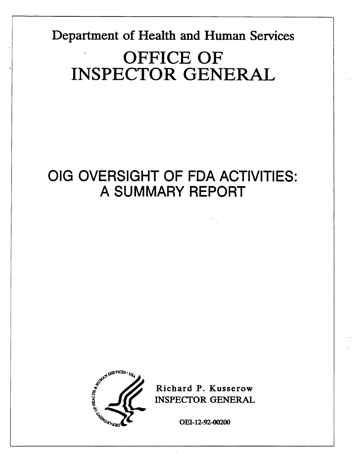Department of Health and Human Services OFFICE OF INSPECTOR GENERA

### OIG OVERSIGHT OF FDA ACTIVITIES: A SUMMARY REPORT



Richard P. Kusserow INSPECfOR GENERA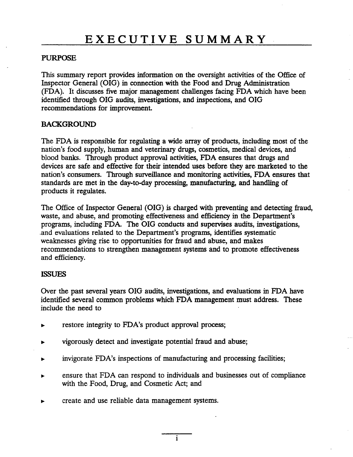### **PURPOSE**

This summary report provides information on the oversight activities of the Office of Inspector General (OIG) in connection with the Food and Drug Administration (FDA). It discusses five major management chalenges facing FDA which have been identified through OIG audits, investigations, and inspections, and OIG recommendations for improvement.

### **BACKGROUND**

The FDA is responsible for regulating a wide array of products, including most of the nation's food supply, human and veterinary drugs, cosmetics, medical devices, and blood banks. Through product approval activities, FDA ensures that drugs and devices are safe and effective for their intended uses before they are marketed to the nation's consumers. Through surveillance and monitoring activities, FDA ensures that standards are met in the day-to-day processing, manufacturing, and handling of products it regulates.

The Office of Inspector General (OIG) is charged with preventing and detecting fraud, waste, and abuse, and promoting effectiveness and efficiency in the Department's programs, including FDA. The OIG conducts and supervises audits, investigations, and evaluations related to the Department's programs, identifies systematic weaknesses giving rise to opportunities for fraud and abuse, and makes recommendations to strengthen management systems and to promote effectiveness and efficiency.

### **ISSUES**

Over the past several years OIG audits, investigations, and evaluations in FDA have identifed several common problems which FDA management must address. These include the need to

- restore integrity to FDA's product approval process;
- vigorously detect and investigate potential fraud and abuse;
- invigorate FDA's inspections of manufacturing and processing facilities; ь
- ensure that FDA can respond to individuals and businesses out of compliance with the Food, Drug, and Cosmetic Act; and
- create and use reliable data management systems.  $\blacksquare$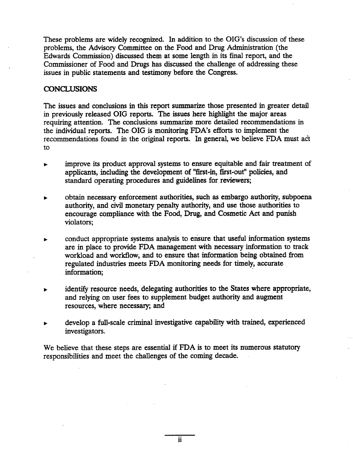These problems are widely recognized. In addition to the DIG's discussion of these problems, the Advisory Committee on the Food and Drug Admistration (the Edwards Commission) discussed them at some length in its final report, and the Commissioner of Food and Drugs has discussed the challenge of addressing these issues in public statements and testimony before the Congress.

### **CONCLUSIONS**

The issues and conclusions in this report summarize those presented in greater detail in previously released OIG reports. The issues here highlight the major areas requiring attention. The conclusions summarize more detailed recommendations in the individual reports. The OIG is monitoring FDA's efforts to implement the recommendations found in the original reports. In general, we believe FDA must act to

- improve its product approval systems to ensure equitable and fair treatment of applicants, including the development of "first-in, first-out" policies, and standard operating procedures and guidelines for reviewers;
- obtain necessary enforcement authorities, such as embargo authority, subpoena authority, and civil monetary penalty authority, and use those authorities to encourage compliance with the Food, Drug, and Cosmetic Act and punsh violators;
- conduct appropriate systems analysis to ensure that useful information systems are in place to provide FDA management with necessary information to track workload and workflow, and to ensure that information being obtained from regulated industries meets FDA monitoring needs for timely, accurate information;
- identify resource needs, delegating authorities to the States where appropriate, and relying on user fees to supplement budget authority and augment resources, where necessary; and
- develop a full-scale criminal investigative capability with trained, experienced investigators.

We believe that these steps are essential if FDA is to meet its numerous statutory responsibilties and meet the challenges of the comig decade.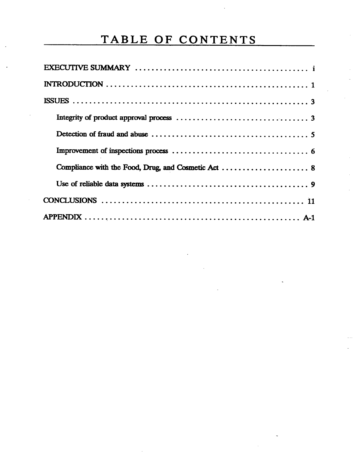### TABLE OF CONTENTS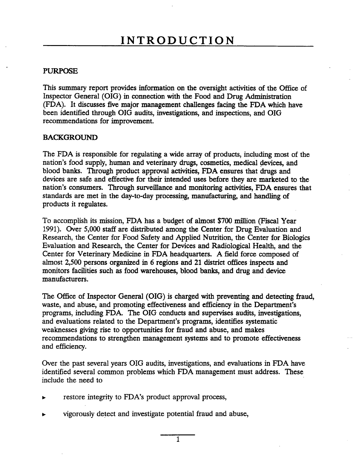### **PURPOSE**

This summary report provides information on the oversight activities of the Office of Inspector General (OIG) in connection with the Food and Drug Admistration (FDA). It discusses five major management chalenges facing the FDA which have been identified through OIG audits, investigations, and inspections, and OIG recommendations for improvement.

### **BACKGROUND**

The FDA is responsible for regulating a wide array of products, including most of the nation's food supply, human and veterinary drugs, cosmetics, medical devices, and blood banks. Through product approval activities, FDA ensures that drugs and devices are safe and effective for their intended uses before they are marketed to the nation's consumers. Through surveillance and monitoring activities, FDA ensures that standards are met in the day-to-day processing, manufacturing, and handling of products it regulates.

To accomplish its mission, FDA has a budget of almost \$700 million (Fiscal Year 1991). Over 5,000 staff are distributed among the Center for Drug Evaluation and Research, the Center for Food Safety and Applied Nutrtion, the Center for Biologics Evaluation and Research, the Center for Devices and Radiological Health, and the Center for Veterinary Medicine in FDA headquarters. A field force composed of almost 2,500 persons organized in 6 regions and 21 district offices inspects and monitors facilities such as food warehouses, blood banks, and drug and device manufacturers.

The Office of Inspector General (OIG) is charged with preventing and detecting fraud, waste, and abuse, and promoting effectiveness and efficiency in the Department's programs, including FDA. The OIG conducts and supervises audits, investigations, and evaluations related to the Department's programs, identifies systematic weaknesses giving rise to opportunities for fraud and abuse, and makes recommendations to strengthen management systems and to promote effectiveness and efficiency.

Over the past several years DIG audits, investigations, and evaluations in FDA have identified several common problems which FDA management must address. These include the need to

- restore integrity to FDA's product approval process,
- vigorously detect and investigate potential fraud and abuse,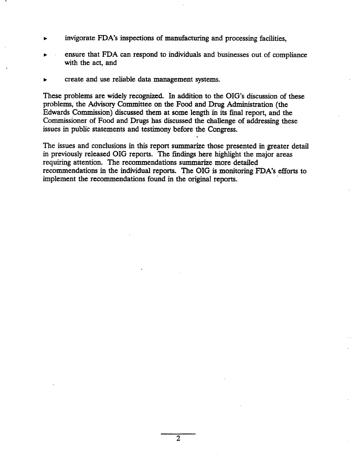- invigorate FDA's inspections of manufacturing and processing facilities,
- ensure that FDA can respond to individuals and businesses out of compliance with the act, and
- create and use reliable data management systems.

These problems are widely recognized. In addition to the OIG's discussion of these problems, the Advisory Commttee on the Food and Drug Admistration (the Edwards Commission) discussed them at some length in its final report, and the Commissioner of Food and Drugs has discussed the challenge of addressing these issues in public statements and testimony before the Congress.

The issues and conclusions in this report summarize those presented in greater detail in previously released OIG reports. The findings here highlight the major areas requiring attention. The recommendations summarize more detailed recommendations in the individual reports. The OIG is monitoring FDA's efforts to implement the recommendations found in the original reports.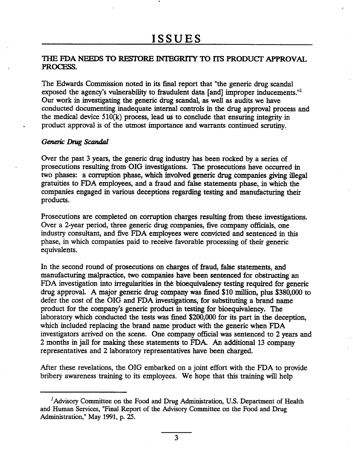### THE FDA NEEDS TO RESTORE INTEGRITY TO ITS PRODUCT APPROVAL PROCESS.

The Edwards Commission noted in its final report that "the generic drug scandal exposed the agency's vulnerability to fraudulent data [and] improper inducements.<sup>11</sup> Our work in investigating the generic drug scandal, as well as audits we have conducted documentig inadequate internal controls in the drug approval process and the medical device  $510(k)$  process, lead us to conclude that ensuring integrity in product approval is of the utmost importance and warrants continued scrutiny.

#### Generic Drug Scandal

Over the past 3 years, the generic drug industry has been rocked by a series of prosecutions resulting from OIG investigations. The prosecutions have occurred in two phases: a corruption phase, which involved generic drug companies giving illegal gratuities to FDA employees, and a fraud and false statements phase, in which the companies engaged in various deceptions regarding testing and manufacturing their products.

Prosecutions are completed on corruption charges resulting from these investigations. Over a 2-year period, three generic drug companies, five company officials, one industry consultant, and five FDA employees were convicted and sentenced in this phase, in which companies paid to receive favorable processing of their generic equivalents.

In the second round of prosecutions on charges of fraud, false statements, and manufacturing malpractice, two companies have been sentenced for obstructing an FDA investigation into irregularities in the bioequivalency testing required for generic drug approval. A major generic drug company was fined  $$10$  million, plus  $$380,000$  to defer the cost of the OIG and FDA investigations, for substituting a brand name product for the company's generic product in testing for bioequivalency. The laboratory which conducted the tests was fined \$200,000 for its part in the deception, which included replacing the brand name product with the generic when FDA investigators arrived on the scene. One company official was sentenced to 2 years and 2 months in jail for making these statements to FDA. An additional 13 company representatives and 2 laboratory representatives have been charged.

Afer these revelations, the OIG embarked on a joint effort with the FDA to provide bribery awareness training to its employees. We hope that this training will help

<sup>&</sup>lt;sup>T</sup>Advisory Committee on the Food and Drug Administration, U.S. Department of Health and Human Services, "Final Report of the Advisory Committee on the Food and Drug Administration," May 1991, p. 25.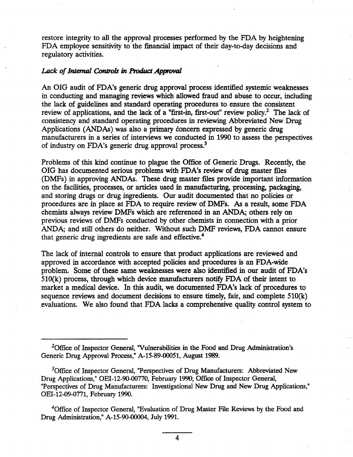restore integrity to all the approval processes performed by the FDA by heightening FDA employee sensitivity to the financial impact of their day-to-day decisions and regulatory activities.

### Lack of Internal Controls in Product Approval

An OIG audit of FDA's generic drug approval process identifed systemic weaknesses in conducting and managing reviews which allowed fraud and abuse to occur, including the lack of guidelines and standard operating procedures to ensure the consistent review of applications, and the lack of a "first-in, first-out" review policy.<sup>2</sup> The lack of consistency and standard operating procedures in reviewing Abbreviated New Drug Applications (ANDAs) was also a primary concern expressed by generic drug manufacturers in a series of interviews we conducted in 1990 to assess the perspectives of industry on FDA's generic drug approval process.<sup>3</sup>

Problems of this kind continue to plague the Office of Generic Drugs. Recently, the OIG has documented serious problems with FDA's review of drug master files (DMFs) in approving ANDAs. These drug master files provide important information on the facilities, processes, or articles used in manufacturing, processing, packaging, and storing drugs or drug ingredients. Our audit documented that no policies or procedures are in place at FDA to requie review of DMFs. As a result, some FDA chemists always review DMFs which are referenced in an ANDA; others rely on previous reviews of DMFs conducted by other chemists in connection with a prior ANDA; and still others do neither. Without such DMF reviews, FDA cannot ensure that generic drug ingredients are safe and effective.

The lack of internal controls to ensure that product applications are reviewed and approved in accordance with accepted policies and procedures is an FDA-wide problem. Some of these same weaknesses were also identified in our audit of FDA's  $510(k)$  process, through which device manufacturers notify FDA of their intent to market a medical device. In this audit, we documented FDA's lack of procedures to sequence reviews and document decisions to ensure timely, fair, and complete  $510(k)$ evaluations. We also found that FDA lacks a comprehensive qualty control system to

<sup>4</sup>Office of Inspector General, "Evaluation of Drug Master File Reviews by the Food and Drug Administration," A-15-90-00004, July 1991.

<sup>&</sup>lt;sup>2</sup>Office of Inspector General, "Vulnerabilities in the Food and Drug Administration's Generic Drug Approval Process," A-15-89-00051, August 1989.

 $\beta$ Office of Inspector General, "Perspectives of Drug Manufacturers: Abbreviated New Drug Applications," OEI-12-90-00770, February 1990; Office of Inspector General, Perspectives of Drug Manufacturers: Investigational New Drug and New Drug Applications OEI-12-09-0771, February 199.

 $\overline{\mathbf{4}}$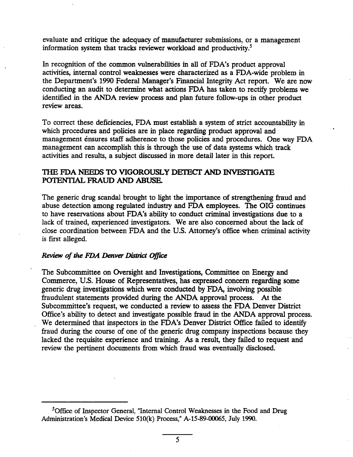evaluate and critique the adequacy of manufacturer submissions, or a management information system that tracks reviewer workload and productivity.<sup>5</sup>

In recognition of the common vulnerabilities in all of FDA's product approval activities, internal control weaknesses were characterized as a FDA-wide problem in the Department's 1990 Federal Manager's Financial Integrity Act report. We are now conducting an audit to determine what actions FDA has taken to rectify problems we identified in the ANDA review process and plan future follow-ups in other product review areas.

To correct these deficiencies, FDA must establish a system of strict accountabilty in which procedures and policies are in place regarding product approval and management ensures staff adherence to those policies and procedures. One way FDA management can accomplish this is through the use of data systems which track activities and results, a subject discussed in more detail later in this report.

### THE FDA NEEDS TO VIGOROUSLY DETECT AND INVESTIGATE POTENTIAL FRAUD AND ABUSE.

The generic drug scandal brought to light the importance of strengthening fraud and abuse detection among regulated industry and FDA employees. The OIG continues to have reservations about FDA's ability to conduct criminal investigations due to a lack of trained, experienced investigators. We are also concerned about the lack of close coordination between FDA and the U.S. Attorney's office when criminal activity is first alleged.

### Review of the FDA Denver District Office

The Subcommittee on Oversight and Investigations, Committee on Energy and Commerce, U.S. House of Representatives, has expressed concern regarding some generic drug investigations which were conducted by FDA, involving possible fraudulent statements provided during the ANDA approval process. At the Subcommittee's request, we conducted a review to assess the FDA Denver District Office's ability to detect and investigate possible fraud in the ANDA approval process. We determined that inspectors in the FDA's Denver District Office failed to identify fraud during the course of one of the generic drug company inspections because they lacked the requisite experience and training. As a result, they failed to request and review the pertinent documents from which fraud was eventually disclosed.

<sup>&</sup>lt;sup>5</sup>Office of Inspector General, "Internal Control Weaknesses in the Food and Drug Administration's Medical Device  $510(k)$  Process," A-15-89-00065, July 1990.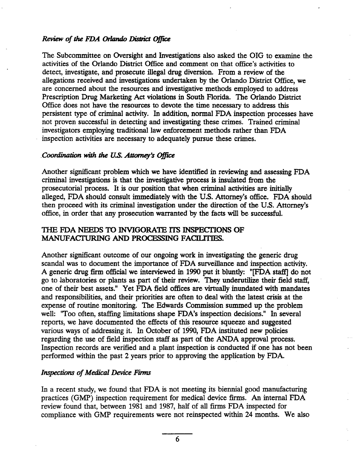### Review of the FDA Orlando District Office

The Subcommittee on Oversight and Investigations also asked the OIG to examine the activities of the Orlando District Office and comment on that office's activities to detect, investigate, and prosecute ilegal drug diversion. From a review of the allegations received and investigations undertaken by the Orlando District Offce, we are concerned about the resources and investigative methods employed to address Prescription Drug Marketing Act violations in South Florida. The Orlando District Office does not have the resources to devote the time necessary to address this persistent type of criminal activity. In addition, normal FDA inspection processes have not proven successful in detecting and investigating these crimes. Trained criminal investigators employig traditional law enforcement methods rather than FDA inspection activities are necessary to adequately pursue these crimes.

### Coordination with the U.S. Attorney's Office

Another significant problem which we have identified in reviewing and assessing FDA crinal investigations is that the investigatie process is insulated from the prosecutorial process. It is our position that when criminal activities are initially alleged, FDA should consult immediately with the U.S. Attorney's office. FDA should then proceed with its criminal investigation under the direction of the U.S. Attorney's office, in order that any prosecution warranted by the facts will be successful.

## THE FDA NEEDS TO INVIGORATE ITS INSPECTIONS OF MANUFACTURING AND PROCESSING FACILITIES.

Another significant outcome of our ongoing work in investigating the generic drug scandal was to document the importance of FDA surveillance and inspection activity. A generic drug firm official we interviewed in 1990 put it bluntly: "[FDA staff] do not go to laboratories or plants as part of their review. They underutilize their field staff, one of their best assets." Yet FDA field offices are virtually inundated with mandates and responsibilties, and their priorities are often to deal with the latest crsis at the expense of routine monitoring. The Edwards Commission summed up the problem well: "Too often, staffing limitations shape FDA's inspection decisions." In several reports, we have documented the effects of this resource squeeze and suggested various ways of addressing it. In October of 1990, FDA instituted new policies regarding the use of field inspection staff as part of the ANDA approval process. Inspection records are verified and a plant inspection is conducted if one has not been performed within the past 2 years prior to approving the application by FDA.

### Inspections of Medical Device Firms

In a recent study, we found that FDA is not meeting its biennial good manufacturing practices (GMP) inspection requirement for medical device firms. An internal FDA review found that, between 1981 and 1987, half of all firms FDA inspected for compliance with GMP requirements were not reinspected within 24 months. We also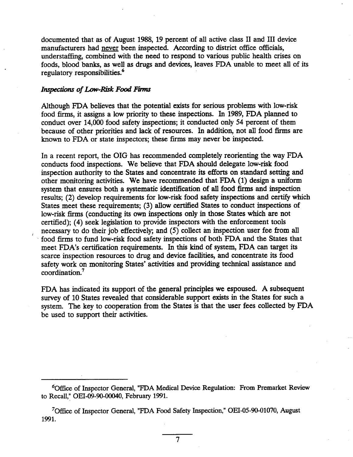documented that as of August 1988, 19 percent of all active class II and III device manufacturers had never been inspected. According to district office officials, understaffing, combined with the need to respond to various public health crises on foods, blood bank, as well as drugs and devices, leaves FDA unable to meet all of its regulatory responsibilties.

#### Inspections of Low-Risk Food Firms

Although FDA believes that the potential exists for serious problems with low-risk food firms, it assigns a low priority to these inspections. In 1989, FDA planned to conduct over 14,000 food safety inspections; it conducted only 54 percent of them conduct over 14,000 food safety inspections; it conducted only 34 percent of them<br>because of other priorities and lack of resources. In addition, not all food firms are known to FDA or state inspectors; these firms may never be inspected.

In a recent report, the OIG has recommended completely reorienting the way FDA conducts food inspections. We believe that FDA should delegate low-risk food inspection authority to the States and concentrate its efforts on standard setting and other monitoring activities. We have recommended that  $FDA(1)$  design a uniform system that ensures both a systematic identification of all food firms and inspection results; (2) develop requirements for low-risk food safety inspections and certify which States meet these requirements; (3) allow certified States to conduct inspections of States meet these requirements; (3) allow certified states to conduct inspections<br>low-risk firms (conducting its own inspections only in those States which are not certifed); (4) seek legislation to provide inspectors with the enforcement tools necessary to do their job effectively; and (5) collect an inspection user fee from food firms to fund low-risk food safety inspections of both FDA and the States that meet FDA's certification requirements. In this kind of system, FDA can target its scarce inspection resources to drug and device facilties, and concentrate its food safety work on monitoring States' activities and providing technical assistance and coordination.

FDA has indicated its support of the general principles we espoused. A subsequent survey of 10 States revealed that considerable support exists in the States for such a system. The key to cooperation from the States is that the user fees collected by FDA be used to support their activities.

<sup>&</sup>lt;sup>6</sup>Office of Inspector General, "FDA Medical Device Regulation: From Premarket Review to Recall," OEI-09-90-00040, February 1991.

<sup>&</sup>lt;sup>7</sup>Office of Inspector General, "FDA Food Safety Inspection," OEI-05-90-01070, August 1991.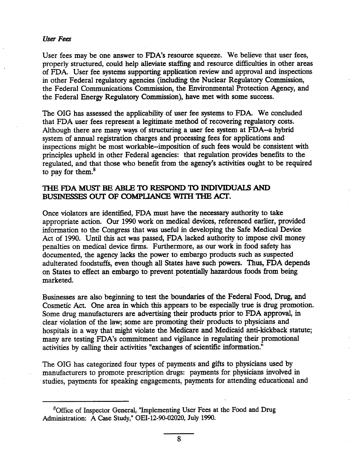#### User Fee

User fees may be one answer to FDA's resource squeeze. We believe that user fees, properly structured, could help alleviate staffing and resource difficulties in other areas of FDA. User fee systems supporting application review and approval and inspections in other Federal regulatory agencies (including the Nuclear Regulatory Commission, the Federal Communications Commission, the Environmental Protection Agency, and the Federal Energy Regulatory Commission), have met with some success.

The OIG has assessed the applicability of user fee systems to FDA. We concluded that FDA user fees represent a legitimate method of recovering regulatory costs. Although there are many ways of structuring a user fee system at  $FDA$ --a hybrid system of annual registration charges and processing fees for applications and inspections might be most workable--imposition of such fees would be consistent with principles upheld in other Federal agencies: that regulation provides benefits to the regulated, and that those who benefit from the agency's activities ought to be required to pay for them. $8$ 

### THE FDA MUST BE ABLE TO RESPOND TO INDIVIDUALS AND BUSINESSES OUT OF COMPLIANCE WITH THE ACT.

Once violators are identified, FDA must have the necessary authority to take appropriate action. Our 1990 work on medical devices, referenced earlier, provided information to the Congress that was useful in developing the Safe Medical Device Act of 1990. Until this act was passed, FDA lacked authority to impose civil money penalties on medical device firms. Furthermore, as our work in food safety has documented, the agency lacks the power to embargo products such as suspected adulterated foodstuffs, even though all States have such powers. Thus, FDA depends on States to effect an embargo to prevent potentially hazardous foods from being marketed.

Businesses are also beginning to test the boundaries of the Federal Food, Drug, and Cosmetic Act. One area in which this appears to be especially true is drug promotion. Some drug manufacturers are advertising their products prior to FDA approval, in clear violation of the law; some are promotig their products to physicians and hospitals in a way that might violate the Medicare and Medicaid anti-kickback statute; many are testing FDA's commitment and vigilance in regulating their promotional activities by calling their activities "exchanges of scientific information."

The OIG has categorized four types of payments and gifts to physicians used by manufacturers to promote prescription drugs: payments for physicians involved in studies, payments for speaking engagements, payments for attending educational and

 ${}^8$ Office of Inspector General, "Implementing User Fees at the Food and Drug Administration: A Case Study," OEI-12-90-02020, July 199.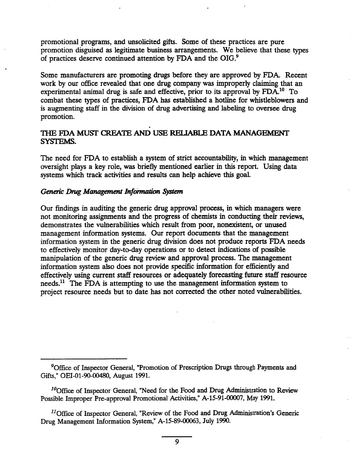promotional programs, and unsolicited gifts. Some of these practices are pure promotion disguised as legitimate business arrangements. We believe that these types of practices deserve continued attention by FDA and the OIG.<sup>9</sup>

Some manufacturers are promoting drugs before they are approved by FDA. Recent work by our office revealed that one drug company was improperly claiming that an experimental animal drug is safe and effective, prior to its approval by FDA.<sup>10</sup> To combat these types of practices, FDA has established a hotline for whistleblowers and is augmenting staff in the division of drug advertising and labeling to oversee drug promotion.

# THE FDA MUST CREATE AND USE RELIABLE DATA MANAGEMENT SYSTEMS.

The need for FDA to establish a system of strict accountabilty, in which management oversight plays a key role, was briefly mentioned earlier in this report. Using data systems which track activities and results can help achieve this goal.

### Generic Drug Management Information System

Our findings in auditing the generic drug approval process, in which managers were not monitoring assignments and the progress of chemists in conducting their reviews, demonstrates the vulnerabilities which result from poor, nonexistent, or unused management information systems. Our report documents that the management information system in the generic drug division does not produce reports FDA needs to effectively monitor day-to-day operations or to detect indications of possible manipulation of the generic drug review and approval process. The management information system also does not provide specific information for efficiently and effectively using current staff resources or adequately forecasting future staff resource  $needs.<sup>11</sup>$  The FDA is attempting to use the management information system to project resource needs but to date has not corrected the other noted vulnerabilities.

<sup>&</sup>lt;sup>9</sup>Office of Inspector General, "Promotion of Prescription Drugs through Payments and Gifts," OEI-01-90-00480, August 1991.

 $10$ Office of Inspector General, "Need for the Food and Drug Administration to Review Possible Improper Pre-approval Promotional Activities," A-15-91-00007, May 1991.

<sup>&</sup>lt;sup>11</sup> Office of Inspector General, "Review of the Food and Drug Administration's Generic Drug Management Information System," A-15-89-00063, July 1990.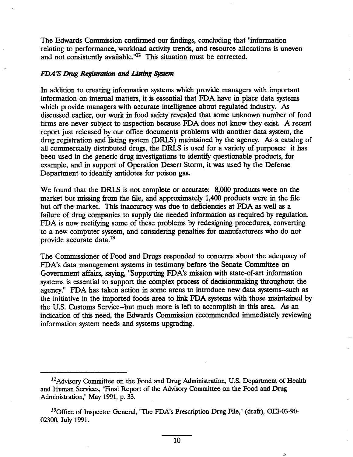The Edwards Commission confirmed our findings, concluding that "information" relating to performance, workload activity trends, and resource allocations is uneven and not consistently available."<sup>12</sup> This situation must be corrected.

### FDA'S Drug Registration and Listing System

In addition to creating information systems which provide managers with important information on internal matters, it is essential that FDA have in place data systems which provide managers with accurate intelligence about regulated industry. As discussed earlier, our work in food safety revealed that some unknown number of food firms are never subject to inspection because FDA does not know they exist. A recent report just released by our office documents problems with another data system, the drug registration and listing system (DRLS) maintained by the agency. As a catalog of all commercially distributed drugs, the DRLS is used for a variety of purposes: it has been used in the generic drug investigations to identify questionable products, for example, and in support of Operation Desert Storm, it was used by the Defense Department to identify antidotes for poison gas.

We found that the DRLS is not complete or accurate: 8,000 products were on the market but missing from the file, and approximately 1,400 products were in the file but off the market. This inaccuracy was due to deficiencies at FDA as well as a failure of drug companies to supply the needed information as required by regulation. FDA is now rectifying some of these problems by redesigning procedures, converting to a new computer system, and considerig penalties for manufacturers who do not provide accurate data.

The Commissioner of Food and Drugs responded to concerns about the adequacy of FDA's data management systems in testimony before the Senate Committee on Government affairs, saying, "Supporting FDA's mission with state-of-art information systems is essential to support the complex process of decisionmaking throughout the agency." FDA has taken action in some areas to introduce new data systems--such as the initiative in the imported foods area to link FDA systems with those maintained by the U.S. Customs Service-but much more is left to accomplish in this area. As an indication of this need, the Edwards Commission recommended immediately reviewing information system needs and systems upgrading.

 $^{12}$ Advisory Committee on the Food and Drug Administration, U.S. Department of Health and Human Services, "Final Report of the Advisory Committee on the Food and Drug Administration," May 1991, p. 33.

 $^{13}$ Office of Inspector General, "The FDA's Prescription Drug File," (draft), OEI-03-90-02300, July 1991.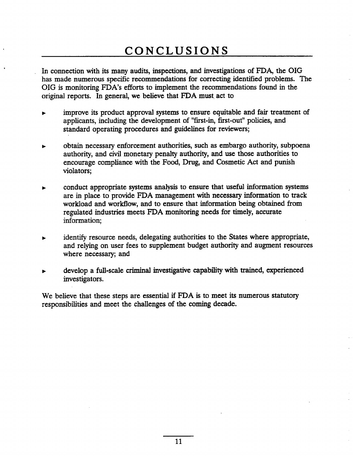### CONCLUSIONS

. In connection with its many audits, inspections, and investigations of FDA, the OIG has made numerous specific recommendations for correcting identified problems. The OIG is monitoring FDA's efforts to implement the recommendations found in the origial reports. In general, we believe that FDA must. act to

- improve its product approval systems to ensure equitable and fair treatment of applicants, including the development of "first-in, first-out" policies, and standard operating procedures and guidelines for reviewers;
- obtain necessary enforcement authorities, such as embargo authority, subpoena authority, and civil monetary penalty authority, and use those authorities to encourage compliance with the Food, Drug, and Cosmetic Act and punsh violators;
- conduct appropriate systems analysis to ensure that useful information systems are in place to provide FDA management with necessary information to track workload and workflow, and to ensure that information being obtained from regulated industries meets FDA monitoring needs for timely, accurate information;
- identify resource needs, delegating authorities to the States where appropriate, and relyig on user fees to supplement budget authority and augment resources where necessary; and
- develop a full-scale criminal investigative capability with trained, experienced investigators.

We believe that these steps are essential if FDA is to meet its numerous statutory responsibilties and meet the challenges of the comig decade.